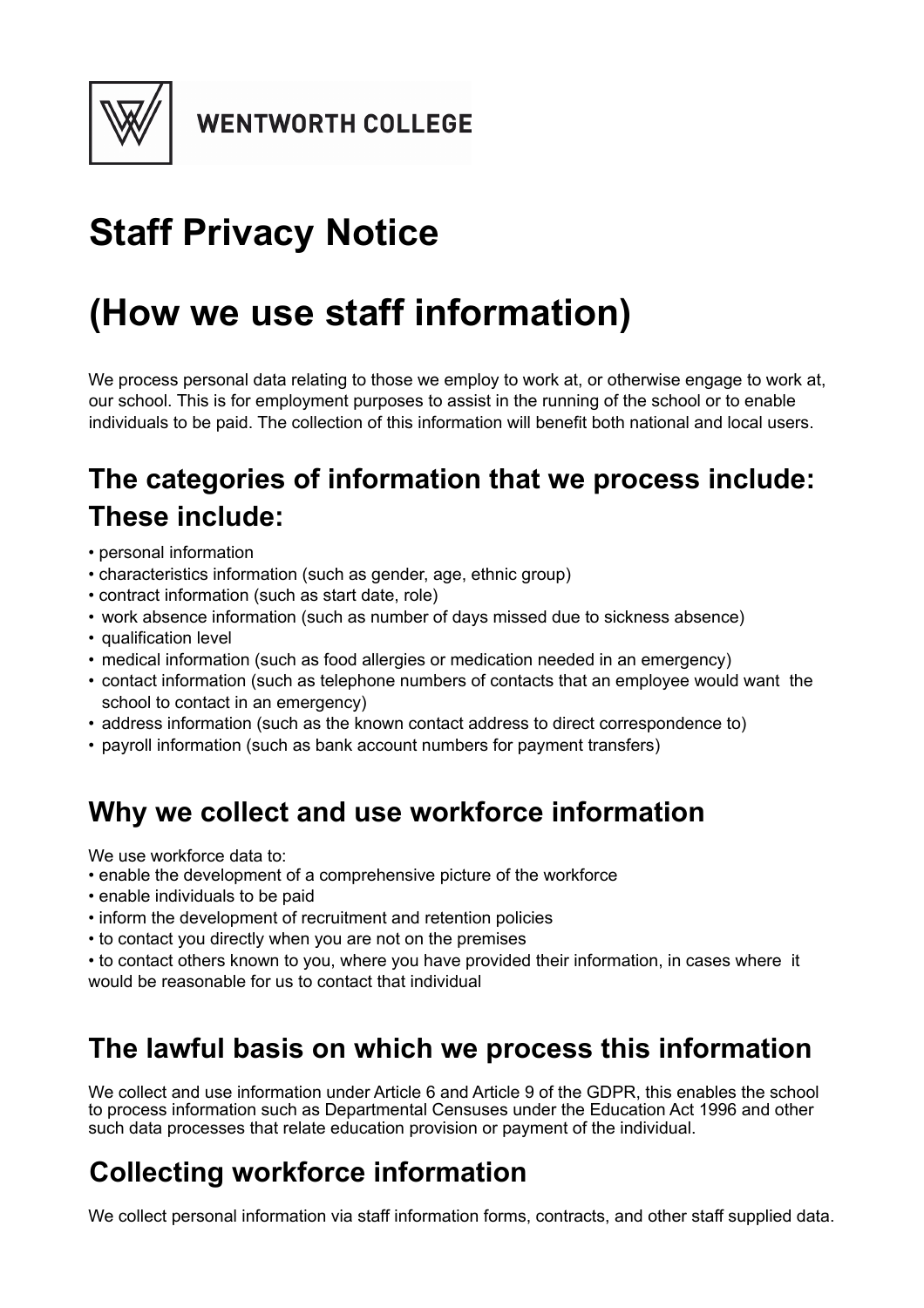

# **Staff Privacy Notice**

# **(How we use staff information)**

We process personal data relating to those we employ to work at, or otherwise engage to work at, our school. This is for employment purposes to assist in the running of the school or to enable individuals to be paid. The collection of this information will benefit both national and local users.

# **The categories of information that we process include: These include:**

- personal information
- characteristics information (such as gender, age, ethnic group)
- contract information (such as start date, role)
- work absence information (such as number of days missed due to sickness absence)
- qualification level
- medical information (such as food allergies or medication needed in an emergency)
- contact information (such as telephone numbers of contacts that an employee would want the school to contact in an emergency)
- address information (such as the known contact address to direct correspondence to)
- payroll information (such as bank account numbers for payment transfers)

### **Why we collect and use workforce information**

We use workforce data to:

- enable the development of a comprehensive picture of the workforce
- enable individuals to be paid
- inform the development of recruitment and retention policies
- to contact you directly when you are not on the premises

• to contact others known to you, where you have provided their information, in cases where it would be reasonable for us to contact that individual

### **The lawful basis on which we process this information**

We collect and use information under Article 6 and Article 9 of the GDPR, this enables the school to process information such as Departmental Censuses under the Education Act 1996 and other such data processes that relate education provision or payment of the individual.

### **Collecting workforce information**

We collect personal information via staff information forms, contracts, and other staff supplied data.